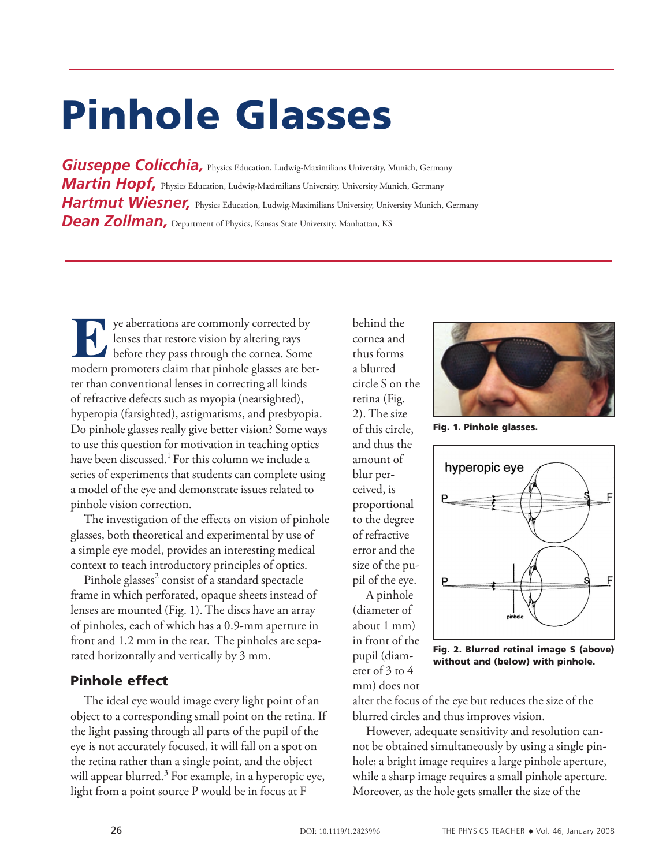# Pinhole Glasses

*Giuseppe Colicchia, Physics Education, Ludwig-Maximilians University, Munich, Germany Martin Hopf,* Physics Education, Ludwig-Maximilians University, University Munich, Germany *Hartmut Wiesner*, Physics Education, Ludwig-Maximilians University, University Munich, Germany **Dean Zollman,** Department of Physics, Kansas State University, Manhattan, KS

**Exercise Secure 1989**<br> **Exercise Secure 1999**<br>
before they pass through the cornea. Some<br>
modern promoters claim that piphole glasses are bet lenses that restore vision by altering rays modern promoters claim that pinhole glasses are better than conventional lenses in correcting all kinds of refractive defects such as myopia (nearsighted), hyperopia (farsighted), astigmatisms, and presbyopia. Do pinhole glasses really give better vision? Some ways to use this question for motivation in teaching optics have been discussed.<sup>1</sup> For this column we include a series of experiments that students can complete using a model of the eye and demonstrate issues related to pinhole vision correction.

The investigation of the effects on vision of pinhole glasses, both theoretical and experimental by use of a simple eye model, provides an interesting medical context to teach introductory principles of optics.

Pinhole glasses<sup>2</sup> consist of a standard spectacle frame in which perforated, opaque sheets instead of lenses are mounted (Fig. 1). The discs have an array of pinholes, each of which has a 0.9-mm aperture in front and 1.2 mm in the rear. The pinholes are separated horizontally and vertically by 3 mm.

# Pinhole effect

The ideal eye would image every light point of an object to a corresponding small point on the retina. If the light passing through all parts of the pupil of the eye is not accurately focused, it will fall on a spot on the retina rather than a single point, and the object will appear blurred.<sup>3</sup> For example, in a hyperopic eye, light from a point source P would be in focus at F

behind the cornea and thus forms a blurred circle S on the retina (Fig. 2). The size of this circle, and thus the amount of blur perceived, is proportional to the degree of refractive error and the size of the pupil of the eye. A pinhole

(diameter of about 1 mm) in front of the pupil (diameter of 3 to 4 mm) does not



Fig. 1. Pinhole glasses.



Fig. 2. Blurred retinal image S (above) without and (below) with pinhole.

alter the focus of the eye but reduces the size of the blurred circles and thus improves vision.

However, adequate sensitivity and resolution cannot be obtained simultaneously by using a single pinhole; a bright image requires a large pinhole aperture, while a sharp image requires a small pinhole aperture. Moreover, as the hole gets smaller the size of the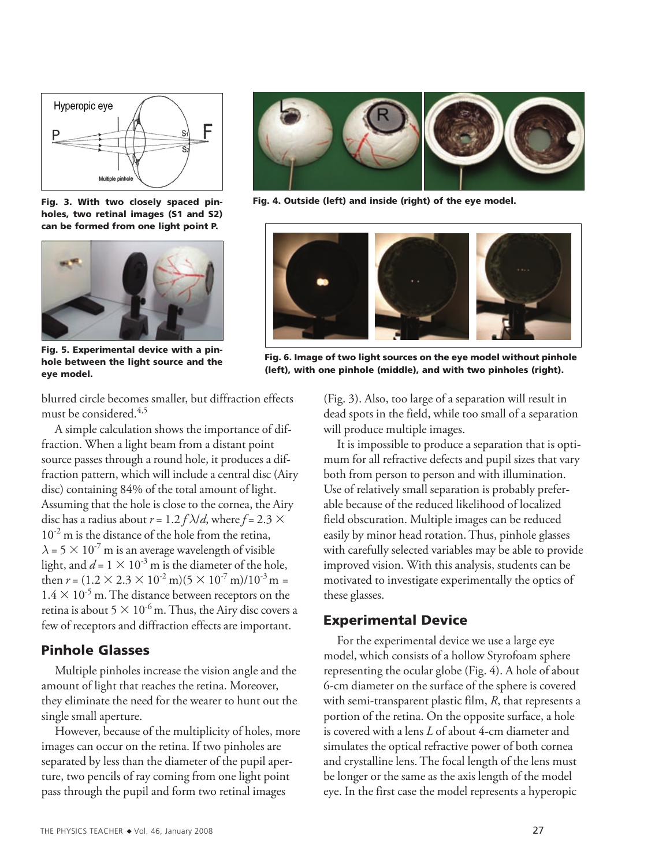

Fig. 3. With two closely spaced pinholes, two retinal images (S1 and S2) can be formed from one light point P.



Fig. 5. Experimental device with a pinhole between the light source and the eye model.

blurred circle becomes smaller, but diffraction effects must be considered.<sup>4,5</sup>

A simple calculation shows the importance of diffraction. When a light beam from a distant point source passes through a round hole, it produces a diffraction pattern, which will include a central disc (Airy disc) containing 84% of the total amount of light. Assuming that the hole is close to the cornea, the Airy disc has a radius about  $r = 1.2 f \lambda/d$ , where  $f = 2.3 \times$  $10^{-2}$  m is the distance of the hole from the retina,  $\lambda = 5 \times 10^{-7}$  m is an average wavelength of visible light, and  $d = 1 \times 10^{-3}$  m is the diameter of the hole, then  $r = (1.2 \times 2.3 \times 10^{-2} \text{ m})(5 \times 10^{-7} \text{ m})/10^{-3} \text{ m} =$  $1.4 \times 10^{-5}$  m. The distance between receptors on the retina is about  $5 \times 10^{-6}$  m. Thus, the Airy disc covers a few of receptors and diffraction effects are important.

## Pinhole Glasses

Multiple pinholes increase the vision angle and the amount of light that reaches the retina. Moreover, they eliminate the need for the wearer to hunt out the single small aperture.

However, because of the multiplicity of holes, more images can occur on the retina. If two pinholes are separated by less than the diameter of the pupil aperture, two pencils of ray coming from one light point pass through the pupil and form two retinal images



Fig. 4. Outside (left) and inside (right) of the eye model.

![](_page_1_Picture_11.jpeg)

Fig. 6. Image of two light sources on the eye model without pinhole (left), with one pinhole (middle), and with two pinholes (right).

(Fig. 3). Also, too large of a separation will result in dead spots in the field, while too small of a separation will produce multiple images.

It is impossible to produce a separation that is optimum for all refractive defects and pupil sizes that vary both from person to person and with illumination. Use of relatively small separation is probably preferable because of the reduced likelihood of localized field obscuration. Multiple images can be reduced easily by minor head rotation. Thus, pinhole glasses with carefully selected variables may be able to provide improved vision. With this analysis, students can be motivated to investigate experimentally the optics of these glasses.

### Experimental Device

For the experimental device we use a large eye model, which consists of a hollow Styrofoam sphere representing the ocular globe (Fig. 4). A hole of about 6-cm diameter on the surface of the sphere is covered with semi-transparent plastic film, *R*, that represents a portion of the retina. On the opposite surface, a hole is covered with a lens *L* of about 4-cm diameter and simulates the optical refractive power of both cornea and crystalline lens. The focal length of the lens must be longer or the same as the axis length of the model eye. In the first case the model represents a hyperopic